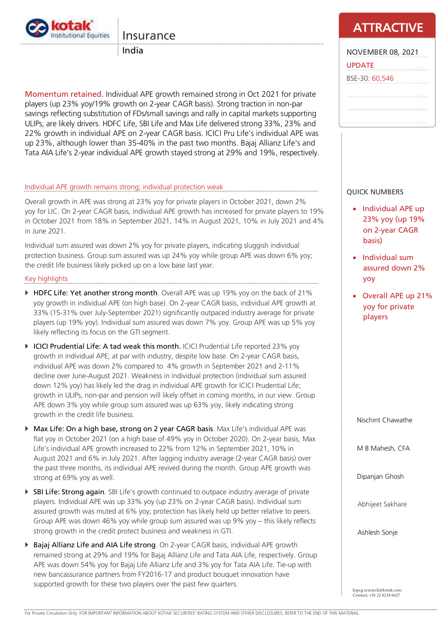

# Insurance

India

Momentum retained. Individual APE growth remained strong in Oct 2021 for private players (up 23% yoy/19% growth on 2-year CAGR basis). Strong traction in non-par savings reflecting substitution of FDs/small savings and rally in capital markets supporting ULIPs, are likely drivers. HDFC Life, SBI Life and Max Life delivered strong 33%, 23% and 22% growth in individual APE on 2-year CAGR basis. ICICI Pru Life's individual APE was up 23%, although lower than 35-40% in the past two months. Bajaj Allianz Life's and Tata AIA Life's 2-year individual APE growth stayed strong at 29% and 19%, respectively.

## Individual APE growth remains strong; individual protection weak

Overall growth in APE was strong at 23% yoy for private players in October 2021, down 2% yoy for LIC. On 2-year CAGR basis, individual APE growth has increased for private players to 19% in October 2021 from 18% in September 2021, 14% in August 2021, 10% in July 2021 and 4% in June 2021.

Individual sum assured was down 2% yoy for private players, indicating sluggish individual protection business. Group sum assured was up 24% yoy while group APE was down 6% yoy; the credit life business likely picked up on a low base last year.

### Key highlights

- ▶ HDFC Life: Yet another strong month. Overall APE was up 19% yoy on the back of 21% yoy growth in individual APE (on high base). On 2-year CAGR basis, individual APE growth at 33% (15-31% over July-September 2021) significantly outpaced industry average for private players (up 19% yoy). Individual sum assured was down 7% yoy. Group APE was up 5% yoy likely reflecting its focus on the GTI segment.
- ICICI Prudential Life: A tad weak this month. ICICI Prudential Life reported 23% yoy growth in individual APE; at par with industry, despite low base. On 2-year CAGR basis, individual APE was down 2% compared to 4% growth in September 2021 and 2-11% decline over June-August 2021. Weakness in individual protection (individual sum assured down 12% yoy) has likely led the drag in individual APE growth for ICICI Prudential Life; growth in ULIPs, non-par and pension will likely offset in coming months, in our view. Group APE down 3% yoy while group sum assured was up 63% yoy, likely indicating strong growth in the credit life business.
- ▶ Max Life: On a high base, strong on 2 year CAGR basis. Max Life's individual APE was flat yoy in October 2021 (on a high base of 49% yoy in October 2020). On 2-year basis, Max Life's individual APE growth increased to 22% from 12% in September 2021, 10% in August 2021 and 6% in July 2021. After lagging industry average (2-year CAGR basis) over the past three months, its individual APE revived during the month. Group APE growth was strong at 69% yoy as well.
- ▶ SBI Life: Strong again. SBI Life's growth continued to outpace industry average of private players. Individual APE was up 33% yoy (up 23% on 2-year CAGR basis). Individual sum assured growth was muted at 6% yoy; protection has likely held up better relative to peers. Group APE was down 46% yoy while group sum assured was up 9% yoy – this likely reflects strong growth in the credit protect business and weakness in GTI.
- ▶ Bajaj Allianz Life and AIA Life strong. On 2-year CAGR basis, individual APE growth remained strong at 29% and 19% for Bajaj Allianz Life and Tata AIA Life, respectively. Group APE was down 54% yoy for Bajaj Life Allianz Life and 3% yoy for Tata AIA Life. Tie-up with new bancassurance partners from FY2016-17 and product bouquet innovation have supported growth for these two players over the past few quarters.

# **ATTRACTIVE**

| <b>NOVEMBER 08, 2021</b> |  |
|--------------------------|--|
| <b>UPDATE</b>            |  |
| BSE-30: 60,546           |  |
|                          |  |
|                          |  |

# QUICK NUMBERS

- Individual APE up 23% yoy (up 19% on 2-year CAGR basis)
- Individual sum assured down 2% yoy
- Overall APE up 21% yoy for private players

Nischint Chawathe

M B Mahesh, CFA

Dipanjan Ghosh

Abhijeet Sakhare

Ashlesh Sonje

kspcg.research@kotak.com Contact: +91 22 6218 6427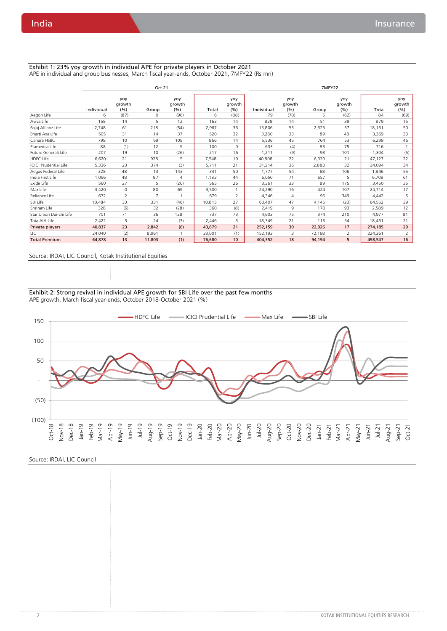#### Exhibit 1: 23% yoy growth in individual APE for private players in October 2021 APE in individual and group businesses, March fiscal year-ends, October 2021, 7MFY22 (Rs mn)

|                              |            |                      | Oct-21 |                      |        |                      |            |                      | 7MFY22 |                       |         |                      |
|------------------------------|------------|----------------------|--------|----------------------|--------|----------------------|------------|----------------------|--------|-----------------------|---------|----------------------|
|                              | Individual | yoy<br>growth<br>(%) | Group  | yoy<br>growth<br>(%) | Total  | yoy<br>growth<br>(%) | Individual | yoy<br>growth<br>(%) | Group  | yoy<br>growth<br>(% ) | Total   | yoy<br>growth<br>(%) |
| Aegon Life                   | 6          | (87)                 | 0      | (96)                 | 6      | (88)                 | 79         | (70)                 | 5      | (62)                  | 84      | (69)                 |
| Aviva Life                   | 158        | 14                   | 5      | 12                   | 163    | 14                   | 828        | 14                   | 51     | 39                    | 879     | 15                   |
| Bajaj Allianz Life           | 2.748      | 61                   | 218    | (54)                 | 2,967  | 36                   | 15,806     | 53                   | 2,325  | 37                    | 18,131  | 50                   |
| Bharti Axa Life              | 505        | 31                   | 14     | 37                   | 520    | 32                   | 3,280      | 33                   | 89     | 48                    | 3,369   | 33                   |
| Canara HSBC                  | 798        | 10                   | 69     | 109                  | 866    | 14                   | 5,536      | 45                   | 764    | 53                    | 6,299   | 46                   |
| Pramerica Life               | 88         | (1)                  | 12     | 9                    | 100    | $\circ$              | 633        | (4)                  | 83     | 75                    | 716     |                      |
| Future Generali Life         | 207        | 19                   | 10     | (26)                 | 217    | 16                   | 1,211      | (9)                  | 93     | 101                   | 1,304   | (5)                  |
| HDFC Life                    | 6.620      | 21                   | 928    | 5                    | 7,548  | 19                   | 40.808     | 22                   | 6,320  | 21                    | 47,127  | 22                   |
| <b>ICICI Prudential Life</b> | 5,336      | 23                   | 374    | (3)                  | 5,711  | 21                   | 31,214     | 35                   | 2,880  | 32                    | 34,094  | 34                   |
| Aegas Federal Life           | 328        | 48                   | 13     | 143                  | 341    | 50                   | 1.777      | 54                   | 68     | 106                   | 1.846   | 55                   |
| India First Life             | 1,096      | 48                   | 87     | $\overline{4}$       | 1,183  | 44                   | 6,050      | 71                   | 657    | 5                     | 6,708   | 61                   |
| Exide Life                   | 560        | 27                   | 5      | (20)                 | 565    | 26                   | 3,361      | 33                   | 89     | 175                   | 3,450   | 35                   |
| Max Life                     | 3,420      | $\circ$              | 80     | 69                   | 3,500  |                      | 24,290     | 16                   | 424    | 107                   | 24,714  | 17                   |
| Reliance Life                | 672        | 2                    | 7      | -1                   | 679    | $\overline{2}$       | 4,346      | $\overline{4}$       | 95     | 349                   | 4,442   | 5                    |
| SBI Life                     | 10,484     | 33                   | 331    | (46)                 | 10,815 | 27                   | 60,407     | 47                   | 4,145  | (23)                  | 64,552  | 39                   |
| Shriram Life                 | 328        | (6)                  | 32     | (28)                 | 360    | (8)                  | 2,419      | 9                    | 170    | 93                    | 2,589   | 12                   |
| Star Union Dai-chi Life      | 701        | 71                   | 36     | 128                  | 737    | 73                   | 4.603      | 75                   | 374    | 210                   | 4.977   | 81                   |
| Tata AIA Life                | 2,422      | 3                    | 24     | (3)                  | 2,446  | 3                    | 18,349     | 21                   | 113    | 54                    | 18,461  | 21                   |
| Private players              | 40,837     | 23                   | 2,842  | (6)                  | 43,679 | 21                   | 252,159    | 30                   | 22,026 | 17                    | 274,185 | 29                   |
| LIC                          | 24,040     | (2)                  | 8,961  |                      | 33,001 | (1)                  | 152,193    | 3                    | 72,168 | 2                     | 224,361 | 2                    |
| <b>Total Premium</b>         | 64,878     | 13                   | 11,803 | (1)                  | 76,680 | 10                   | 404,352    | 18                   | 94,194 | 5                     | 498,547 | 16                   |

#### Source: IRDAI, LIC Council, Kotak Institutional Equities

Exhibit 2: Strong revival in individual APE growth for SBI Life over the past few months APE growth, March fiscal year-ends, October 2018-October 2021 (%)



Source: IRDAI, LIC Council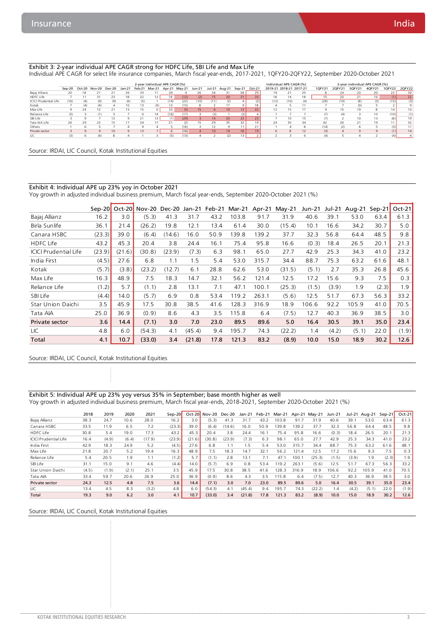#### Exhibit 3: 2-year individual APE CAGR strong for HDFC Life, SBI Life and Max Life

Individual APE CAGR for select life insurance companies, March fiscal year-ends, 2017-2021, 1QFY20-2QFY22, September 2020-October 2021

|                              |      |               |     |                          |        |        | 2-year individual APE CAGR (%) |               |      |        |                 |                 |                 |          | Individual APE CAGR (%) |                 |     |        |        | 2-year individual APE CAGR (%) |        |                          |                 |
|------------------------------|------|---------------|-----|--------------------------|--------|--------|--------------------------------|---------------|------|--------|-----------------|-----------------|-----------------|----------|-------------------------|-----------------|-----|--------|--------|--------------------------------|--------|--------------------------|-----------------|
|                              |      | Sep-20 Oct-20 |     | Nov-20 Dec-20            | Jan-21 | Feb-21 | Mar-21                         | Apr-21 May-21 |      | Jun-21 | Jul-21          | Aug-21          | Sep-21          | $Oct-21$ | 2019-21                 | 2018-21 2017-21 |     | 10FY21 | 2QFY21 | 3OFY21                         | 4QFY21 | 1QFY22                   | 20FY22          |
| Bajaj Allianz                |      |               |     |                          |        |        |                                | 39            |      | 16     | 34              |                 |                 | 29       | 19                      |                 | 25  |        |        | 20                             | 20     | $\overline{\phantom{a}}$ | 34              |
| <b>HDFC Life</b>             |      |               |     | 23                       | 18     |        |                                | 18            | (12) | (2)    | 15              | 20              | 31              | 33       | 18                      | 14              | 18  |        |        |                                | 16     | (1)                      | 22              |
| <b>ICICI Prudential Life</b> | (16) | (4)           | (9) | (9)                      | (6)    | (5)    |                                | (14)          | (22) | (10)   | (11)            | (2)             |                 | (2)      | (12)                    | (10)            | (4) | (28)   | (19)   | (8)                            | (3)    | (15)                     | (3)             |
| Kotak                        |      | (4)           | (4) |                          | 10     |        |                                |               | (15) |        |                 |                 | ۹               | 18       |                         |                 |     |        |        | (0)                            |        |                          |                 |
| Max Life                     |      | 2А            |     |                          |        |        |                                | 33            | (5)  | 15     |                 | 10 <sup>1</sup> | 12 <sub>1</sub> | 22       |                         |                 |     |        |        | 19                             |        |                          | 10 <sup>1</sup> |
| Reliance Life                | (5)  |               |     |                          |        |        |                                | (16)          | (17) |        | (3)             |                 | (2)             |          |                         |                 |     | (7)    |        |                                |        | (10)                     | (1)             |
| SBI Life                     |      |               |     |                          |        |        |                                |               | (29) |        | 4               | 20              | 22              | 23       |                         |                 |     |        |        | 10                             |        | (8)                      | 191             |
| Tata AIA Life                | 26   | 29            |     | 15                       |        | 24     |                                |               | (2)  |        | 29              |                 |                 | 19       | 24                      | 35              | 34  | 42     | 26.    |                                | 19     |                          | 32              |
| Others                       |      |               |     |                          |        |        |                                |               | (18) |        |                 |                 |                 | 21       |                         |                 |     | (14)   | (2)    |                                |        | (3)                      | 11              |
| Private sector               |      |               |     | 10                       |        |        |                                |               | (16) |        | 10 <sup>1</sup> | 14              | 18              | 19       | b                       |                 | 12  | (3)    |        |                                |        |                          | 14              |
| LIC                          | (3)  |               | (4) | $\overline{\phantom{a}}$ |        |        |                                |               | (13) |        |                 |                 | 13              |          |                         |                 |     | (4)    |        |                                |        |                          |                 |

Source: IRDAI, LIC Council, Kotak Institutional Equities

#### Exhibit 4: Individual APE up 23% yoy in October 2021

Yoy growth in adjusted individual business premium, March fiscal year-ends, September 2020-October 2021 (%)

|                              | $Sen-20$ |        | Oct-20 Nov-20 Dec-20 |        | Jan-21 | Feb-21 | Mar-21 |       | Apr-21 May-21 | Jun-21 | Jul-21 | Aug-21 | $Sen-21$ | $Oct-21$ |
|------------------------------|----------|--------|----------------------|--------|--------|--------|--------|-------|---------------|--------|--------|--------|----------|----------|
| Bajaj Allianz                | 16.2     | 3.0    | (5.3)                | 41.3   | 31.7   | 43.2   | 103.8  | 91.7  | 31.9          | 40.6   | 39.1   | 53.0   | 63.4     | 61.3     |
| Birla Sunlife                | 36.1     | 21.4   | (26.2)               | 19.8   | 12.1   | 13.4   | 61.4   | 30.0  | (15.4)        | 10.1   | 16.6   | 34.2   | 30.7     | 5.0      |
| Canara HSBC                  | (23.3)   | 39.0   | (6.4)                | 14.6)  | 16.0   | 50.9   | 139.8  | 139.2 | 37.7          | 32.3   | 56.8   | 64.4   | 48.5     | 9.8      |
| <b>HDFC Life</b>             | 43.2     | 45.3   | 20.4                 | 3.8    | 24.4   | 16.1   | 75.4   | 95.8  | 16.6          | (0.3)  | 18.4   | 26.5   | 20.1     | 21.3     |
| <b>ICICI Prudential Life</b> | (23.9)   | (21.6) | (30.8)               | (23.9) | (7.3)  | 6.3    | 98.1   | 65.0  | 27.7          | 42.9   | 25.3   | 34.3   | 41.0     | 23.2     |
| India First                  | (4.5)    | 27.6   | 6.8                  | 1.1    | 1.5    | 5.4    | 53.0   | 315.7 | 34.4          | 88.7   | 75.3   | 63.2   | 61.6     | 48.1     |
| Kotak                        | (5.7)    | (3.8)  | (23.2)               | (12.7) | 6.1    | 28.8   | 62.6   | 53.0  | (31.5)        | (5.1)  | 2.7    | 35.3   | 26.8     | 45.6     |
| Max Life                     | 16.3     | 48.9   | 7.5                  | 18.3   | 14.7   | 32.1   | 56.2   | 121.4 | 12.5          | 17.2   | 15.6   | 9.3    | 7.5      | 0.3      |
| Reliance Life                | (1.2)    | 5.7    | (1.1)                | 2.8    | 13.1   | 7.1    | 47.1   | 100.1 | (25.3)        | (1.5)  | (3.9)  | 1.9    | (2.3)    | 1.9      |
| SBI Life                     | (4.4)    | 14.0   | (5.7)                | 6.9    | 0.8    | 53.4   | 119.2  | 263.1 | (5.6)         | 12.5   | 51.7   | 67.3   | 56.3     | 33.2     |
| Star Union Daichi            | 3.5      | 45.9   | 17.5                 | 30.8   | 38.5   | 41.6   | 128.3  | 316.9 | 18.9          | 106.6  | 92.2   | 105.9  | 41.0     | 70.5     |
| Tata AIA                     | 25.0     | 36.9   | (0.9)                | 8.6    | 4.3    | 3.5    | 115.8  | 6.4   | (7.5)         | 12.7   | 40.3   | 36.9   | 38.5     | 3.0      |
| Private sector               | 3.6      | 14.4   | (7.1)                | 3.0    | 7.0    | 23.0   | 89.5   | 89.6  | 5.0           | 16.4   | 30.5   | 39.1   | 35.0     | 23.4     |
| LIC                          | 4.8      | 6.0    | (54.3)               | 4.1    | (45.4) | 9.4    | 195.7  | 74.3  | (22.2)        | 1.4    | (4.2)  | (5.1)  | 22.0     | (1.9)    |
| Total                        | 4.1      | 10.7   | (33.0)               | 3.4    | (21.8) | 17.8   | 121.3  | 83.2  | (8.9)         | 10.0   | 15.0   | 18.9   | 30.2     | 12.6     |

#### Source: IRDAI, LIC Council, Kotak Institutional Equities

#### Exhibit 5: Individual APE up 23% yoy versus 35% in September; base month higher as well Yoy growth in adjusted individual business premium, March fiscal year-ends, 2018-2021, September 2020-October 2021 (%)

|                       | 2018  | 2019  | 2020  | 2021   | Sep-20 | $Oct-20$ | <b>Nov-20</b> | Dec-20 | Jan-21 | Feb-21 | Mar-21 |       | Apr-21 May-21 | Jun-21 | Jul-21 | Aua-21 | Sep-21 | $Oct-21$ |
|-----------------------|-------|-------|-------|--------|--------|----------|---------------|--------|--------|--------|--------|-------|---------------|--------|--------|--------|--------|----------|
| Bajaj Allianz         | 38.3  | 24.7  | 10.6  | 28.0   | 16.2   | 3.0      | (5.3)         | 41.3   | 31.7   | 43.2   | 103.8  | 91.7  | 31.9          | 40.6   | 39.    | 53.0   | 63.4   | 61.3     |
| Canara HSBC           | 33.5  | 11.9  | 6.5   | 7.2    | (23.3) | 39.0     | (6.4)         | (14.6) | 16.0   | 50.9   | 139.8  | 39.2  | 37.7          | 32.3   | 56.8   | 64.4   | 48.5   | 9.8      |
| <b>HDFC Life</b>      | 30.8  | 5.4   | 19.0  | 17.3   | 43.2   | 45.3     | 20.4          | 3.8    | 24.4   | 16.1   | 75.4   | 95.8  | 16.6          | (0.3)  | 18.4   | 26.5   | 20.1   | 21.3     |
| ICICI Prudential Life | 16.4  | (4.9) | (6.4) | (17.9) | (23.9) | (21.6)   | (30.8)        | (23.9) | (7.3)  | 6.3    | 98.    | 65.0  | 27.7          | 42.9   | 25.3   | 34.3   | 41.0   | 23.2     |
| India First           | 42.9  | 18.3  | 24.9  | 5.2    | (4.5)  | 27.6     | 6.8           |        | 1.5    | 5.4    | 53.0   | 315.7 | 34.4          | 88.7   | 75.3   | 63.2   | 61.6   | 48.1     |
| Max Life              | 21.8  | 20.7  | 5.2   | 19.4   | 16.3   | 48.9     | 7.5           | 18.3   | 14.7   | 32.1   | 56.2   | 121.4 | 12.5          | 17.2   | 15.6   | 9.3    | 7.5    | 0.3      |
| Reliance Life         | 5.4   | 20.5  | 1.9   |        | (1.2)  | 5.7      | (1.1)         | 2.8    | 13.1   | 7.1    | 47.    | 100.  | (25.3)        | (1.5)  | (3.9)  | 1.9    | (2.3)  | 1.9      |
| SBI Life              | 31.1  | 15.0  | 9.1   | 4.6    | (4.4)  | 14.0     | (5.7)         | 6.9    | 0.8    | 53.4   | 19.2   | 263.  | (5.6)         | 12.5   | 51.7   | 67.3   | 56.3   | 33.2     |
| Star Union Daichi     | (4.5) | (1.9) | (2.1) | 25.1   | 3.5    | 45.9     | 17.5          | 30.8   | 38.5   | 41.6   | 128.3  | 316.9 | 18.9          | 106.6  | 92.2   | 105.9  | 41.0   | 70.5     |
| Tata AIA              | 33.4  | 59.7  | 20.6  | 26.9   | 25.0   | 36.9     | (0.9)         | 8.6    | 4.3    | 3.5    | 15.8   | 6.4   | (7.5)         | 12.7   | 40.3   | 36.9   | 38.5   | 3.0      |
| Private sector        | 24.3  | 12.5  | 4.8   | 7.5    | 3.6    | 14.4     | (7.1)         | 3.0    | 7.0    | 23.0   | 89.5   | 89.6  | 5.0           | 16.4   | 30.5   | 39.1   | 35.0   | 23.4     |
| LIC                   | 13.4  | 4.5   | 8.3   | (3.2)  | 4.8    | 6.0      | (54.3)        | 4.1    | (45.4) | 9.4    | 195.7  | 74.3  | (22.2)        | 1.4    | (4.2)  | (5.1)  | 22.0   | (1.9)    |
| Total                 | 19.3  | 9.0   | 6.2   | 3.0    | 4.1    | 10.7     | (33.0)        | 3.4    | (21.8) | 17.8   | 121.3  | 83.2  | (8.9)         | 10.0   | 15.0   | 18.9   | 30.2   | 12.6     |

Source: IRDAI, LIC Council, Kotak Institutional Equities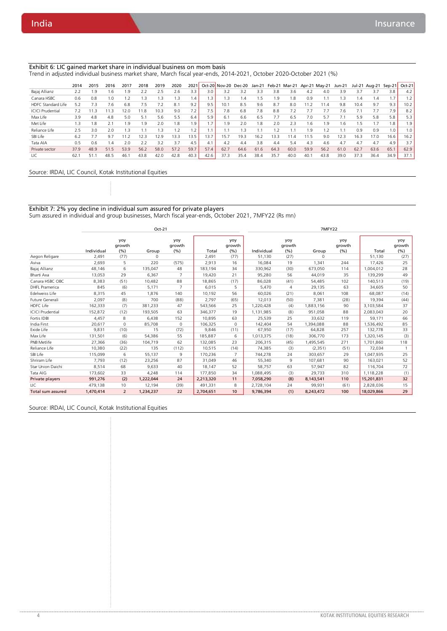#### Exhibit 6: LIC gained market share in individual business on mom basis

Trend in adjusted individual business market share, March fiscal year-ends, 2014-2021, October 2020-October 2021 (%)

|                           | 2014 | 2015 | 2016                          | 2017                 | 2018 | 2019 | 2020 | 2021            |        |      | Oct-20 Nov-20 Dec-20 |                |      | Jan-21 Feb-21 Mar-21 Apr-21 May-21 |      |      | <b>Jun-21</b> |               | Jul-21 Aug-21 Sep-21 |                | Oct-21 |
|---------------------------|------|------|-------------------------------|----------------------|------|------|------|-----------------|--------|------|----------------------|----------------|------|------------------------------------|------|------|---------------|---------------|----------------------|----------------|--------|
| Bajaj Allianz             | 2.2  | 1.9  | .6                            | .9                   | 2.2  | 2.5  | 2.6  | 3.3             | 3.0    | 3.2  | 3.2                  | 3.3            | 3.8  | 3.6                                | 4.2  | 4.0  | 3.9           | 3.7           | 3.7                  | 3.8            | 4.2    |
| Canara HSBC               | 0.6  | 0.8  | 1.0                           | $\mathcal{P}$        | 1.3  | 1.3  | 1.3  | $\overline{.4}$ | 3.،    | 1.3  | 1.4                  |                | .9   | .8                                 | 0.9  |      |               | $\mathcal{A}$ | 1.4                  | 1 <sub>7</sub> |        |
| <b>HDFC Standard Life</b> | 5.2  | 7.3  | 7.6                           | 6.8                  | 7.5  | 7.2  | 8.1  | 9.2             | 9.5    | 10.1 | 8.5                  | 9.6            | 8.7  | 8.0                                | 11.2 | 11.4 | 9.8           | 10.4          | 9.7                  | 9.3            | 10.2   |
| <b>ICICI Prudential</b>   | 7.2  | 11.3 | 11.3                          | 12.0                 | 1.8  | 10.3 | 9.0  | 7.2             | 7.5    | 7.8  | 6.8                  | 7.8            | 8.8  | 72                                 |      | 7.7  | 7.6           |               |                      | 7.9            | 8.2    |
| Max Life                  | 3.9  | 4.8  | 4.8                           | 5.0                  | 5.1  | 5.6  | 5.5  | 6.4             | 5.9    | 6.1  | 6.6                  | 6.5            | 7.7  | 6.5                                | 7.0  | 5.7  |               | 5.9           | 5.8                  | 5.8            | 5.3    |
| Met Life                  | 1.3  | 1.8  |                               | 1.9                  | 1.9  | 2.0  | . 8  | 1.9.            | .7     | 1.9  | 2.0                  | $\overline{8}$ | 2.0  | 2.3                                | 1.6  | 1.9  | .6            | .5            |                      | 1.8            | 1.9    |
| Reliance Life             | 2.5  | 3.0  | 2.0                           | $\cdot$ <sub>3</sub> |      | 1.3  | 1.2  | $\mathcal{D}$   | $\sim$ |      | 1.3                  |                | ຳ    |                                    | 1.9  | 1.2  |               | 0.9           | 0.9                  | 1.0            | 1.0    |
| SBI Life                  | 6.2  |      | 9.7                           | 1.2                  | 12.3 | 12.9 | 13.3 | 13.5            | 13.7   | 15.7 | 19.3                 | 16.2           | 13.3 | $\mathcal{A}$                      | 11.5 | 9.0  | 12.3          | 16.3          | 17.0                 | 16.6           | 16.2   |
| Tata AIA                  | 0.5  | 0.6  | $\mathsf{I} \cdot \mathsf{A}$ | 2.0                  | 2.2  | 3.2  | 3.7  | 4.5             | 4.1    | 4.2  | 4.4                  | 3.8            | 4.4  | 5.4                                | 4.3  | 4.6  | 4.7           | 4.7           | 4.7                  | 4.9            | 3.7    |
| Private sector            | 37.9 | 48.9 | 51.5                          | 53.9                 | 56.2 | 58.0 | 57.2 | 59.7            | 57.4   | 62.7 | 64.6                 | 61.6           | 64.3 | 60.0                               | 59.9 | 56.2 | 61.0          | 62.7          | 63.6                 | 65.1           | 62.9   |
| LIC                       | 62.  | 51.1 | 48.5                          | 46.                  | 43.8 | 42.0 | 42.8 | 40.3            | 42.6   | 37.3 | 35.4                 | 38.4           | 35.7 | 40.0                               | 40.1 | 43.8 | 39.0          | 37.3          | 36.4                 | 34.9           | 37.1   |

#### Source: IRDAI, LIC Council, Kotak Institutional Equities

Exhibit 7: 2% yoy decline in individual sum assured for private players Sum assured in individual and group businesses, March fiscal year-ends, October 2021, 7MFY22 (Rs mn)

|                          |            |                      | Oct-21    |                       |           |                      |            |                      | 7MFY22    |                       |            |                      |
|--------------------------|------------|----------------------|-----------|-----------------------|-----------|----------------------|------------|----------------------|-----------|-----------------------|------------|----------------------|
|                          | Individual | yoy<br>growth<br>(%) | Group     | yoy<br>growth<br>(% ) | Total     | yoy<br>growth<br>(%) | Individual | yoy<br>growth<br>(%) | Group     | yoy<br>growth<br>(% ) | Total      | yoy<br>growth<br>(%) |
| Aegon Religare           | 2,491      | (77)                 | 0         |                       | 2,491     | (77)                 | 51,130     | (27)                 | 0         |                       | 51,130     | (27)                 |
| Aviva                    | 2,693      | 5                    | 220       | (575)                 | 2,913     | 16                   | 16,084     | 19                   | 1,341     | 244                   | 17,426     | 25                   |
| Bajaj Allianz            | 48,146     | 6                    | 135.047   | 48                    | 183,194   | 34                   | 330,962    | (30)                 | 673,050   | 114                   | 1,004,012  | 28                   |
| Bharti Axa               | 13,053     | 29                   | 6,367     | $\overline{7}$        | 19,420    | 21                   | 95,280     | 56                   | 44,019    | 35                    | 139,299    | 49                   |
| Canara HSBC OBC          | 8,383      | (51)                 | 10,482    | 88                    | 18,865    | (17)                 | 86.028     | (41)                 | 54,485    | 102                   | 140,513    | (19)                 |
| <b>DHFL Pramerica</b>    | 845        | (6)                  | 5,171     | $\overline{7}$        | 6,015     | 5                    | 5,470      | 4                    | 29,135    | 63                    | 34,605     | 50                   |
| Edelweiss Life           | 8,315      | 45                   | 1.876     | 140                   | 10,192    | 56                   | 60,026     | (21)                 | 8,061     | 108                   | 68.087     | (14)                 |
| Future Generali          | 2.097      | (8)                  | 700       | (88)                  | 2,797     | (65)                 | 12.013     | (50)                 | 7,381     | (28)                  | 19,394     | (44)                 |
| <b>HDFC Life</b>         | 162,333    | (7)                  | 381,233   | 47                    | 543,566   | 25                   | 1,220,428  | (4)                  | 1,883,156 | 90                    | 3,103,584  | 37                   |
| <b>ICICI Prudential</b>  | 152,872    | (12)                 | 193.505   | 63                    | 346,377   | 19                   | 1,131,985  | (8)                  | 951,058   | 88                    | 2,083,043  | 20                   |
| Fortis IDBI              | 4,457      | 8                    | 6,438     | 152                   | 10,895    | 63                   | 25,539     | 25                   | 33,632    | 119                   | 59,171     | 66                   |
| India First              | 20,617     | $\mathbf 0$          | 85,708    | $\circ$               | 106,325   | $\circ$              | 142.404    | 54                   | 1,394,088 | 88                    | 1,536,492  | 85                   |
| Exide Life               | 9,831      | (10)                 | 15        | (72)                  | 9,846     | (11)                 | 67,950     | (17)                 | 64,828    | 257                   | 132,778    | 33                   |
| Max Life                 | 131,501    | (6)                  | 54,386    | 55                    | 185,887   | 6                    | 1,013,375  | (18)                 | 306,770   | 173                   | 1,320,145  | (3)                  |
| PNB Metlife              | 27,366     | (36)                 | 104.719   | 62                    | 132,085   | 23                   | 206,315    | (45)                 | 1,495,545 | 271                   | 1,701,860  | 118                  |
| Reliance Life            | 10,380     | (22)                 | 135       | (112)                 | 10,515    | (14)                 | 74,385     | (3)                  | (2, 351)  | (51)                  | 72,034     |                      |
| SBI Life                 | 115,099    | 6                    | 55,137    | 9                     | 170,236   | $\overline{7}$       | 744,278    | 24                   | 303,657   | 29                    | 1,047,935  | 25                   |
| Shriram Life             | 7,793      | (12)                 | 23,256    | 87                    | 31,049    | 46                   | 55,340     | 9                    | 107,681   | 90                    | 163,021    | 52                   |
| <b>Star Union Daichi</b> | 8,514      | 68                   | 9.633     | 40                    | 18,147    | 52                   | 58.757     | 63                   | 57,947    | 82                    | 116,704    | 72                   |
| Tata AIG                 | 173,602    | 33                   | 4,248     | 114                   | 177.850   | 34                   | 1,088,495  | (3)                  | 29,733    | 310                   | 1,118,228  | (1)                  |
| Private players          | 991,276    | (2)                  | 1,222,044 | 24                    | 2,213,320 | 11                   | 7,058,290  | (8)                  | 8,143,541 | 110                   | 15,201,831 | 32                   |
| LIC                      | 479,138    | 10                   | 12,194    | (39)                  | 491,331   | 8                    | 2,728,104  | 24                   | 99,931    | (61)                  | 2,828,036  | 15                   |
| Total sum assured        | 1,470,414  | $\overline{2}$       | 1,234,237 | 22                    | 2,704,651 | 10                   | 9,786,394  | (1)                  | 8,243,472 | 100                   | 18,029,866 | 29                   |

Source: IRDAI, LIC Council, Kotak Institutional Equities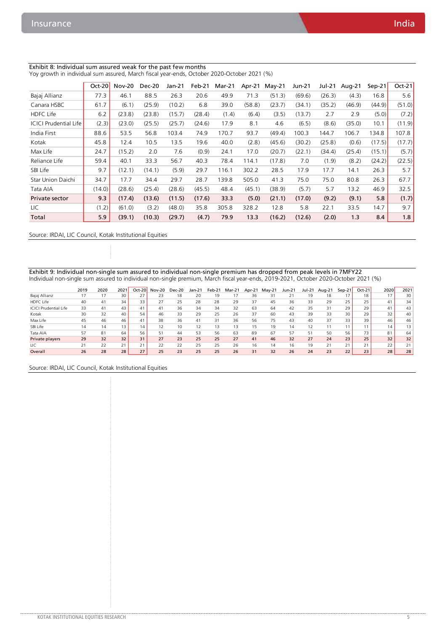#### Exhibit 8: Individual sum assured weak for the past few months Yoy growth in individual sum assured, March fiscal year-ends, October 2020-October 2021 (%)

|                              | $Oct-20$ | <b>Nov-20</b> | <b>Dec-20</b> | Jan-21 | Feb-21 | Mar-21 | Apr-21 | $May-21$ | Jun-21 | Jul-21 | Aug-21 | $Sep-21$ | $Oct-21$ |
|------------------------------|----------|---------------|---------------|--------|--------|--------|--------|----------|--------|--------|--------|----------|----------|
| Bajaj Allianz                | 77.3     | 46.1          | 88.5          | 26.3   | 20.6   | 49.9   | 71.3   | (51.3)   | (69.6) | (26.3) | (4.3)  | 16.8     | 5.6      |
| Canara HSBC                  | 61.7     | (6.1)         | (25.9)        | (10.2) | 6.8    | 39.0   | (58.8) | (23.7)   | (34.1) | (35.2) | (46.9) | (44.9)   | (51.0)   |
| <b>HDFC Life</b>             | 6.2      | (23.8)        | (23.8)        | (15.7) | (28.4) | (1.4)  | (6.4)  | (3.5)    | (13.7) | 2.7    | 2.9    | (5.0)    | (7.2)    |
| <b>ICICI Prudential Life</b> | (2.3)    | (23.0)        | (25.5)        | (25.7) | (24.6) | 17.9   | 8.1    | 4.6      | (6.5)  | (8.6)  | (35.0) | 10.1     | (11.9)   |
| India First                  | 88.6     | 53.5          | 56.8          | 103.4  | 74.9   | 170.7  | 93.7   | (49.4)   | 100.3  | 144.7  | 106.7  | 134.8    | 107.8    |
| Kotak                        | 45.8     | 12.4          | 10.5          | 13.5   | 19.6   | 40.0   | (2.8)  | (45.6)   | (30.2) | (25.8) | (0.6)  | (17.5)   | (17.7)   |
| Max Life                     | 24.7     | (15.2)        | 2.0           | 7.6    | (0.9)  | 24.1   | 17.0   | (20.7)   | (22.1) | (34.4) | (25.4) | (15.1)   | (5.7)    |
| Reliance Life                | 59.4     | 40.1          | 33.3          | 56.7   | 40.3   | 78.4   | 114.1  | (17.8)   | 7.0    | (1.9)  | (8.2)  | (24.2)   | (22.5)   |
| SBI Life                     | 9.7      | (12.1)        | (14.1)        | (5.9)  | 29.7   | 116.1  | 302.2  | 28.5     | 17.9   | 17.7   | 14.1   | 26.3     | 5.7      |
| Star Union Daichi            | 34.7     | 17.7          | 34.4          | 29.7   | 28.7   | 139.8  | 505.0  | 41.3     | 75.0   | 75.0   | 80.8   | 26.3     | 67.7     |
| Tata AIA                     | (14.0)   | (28.6)        | (25.4)        | (28.6) | (45.5) | 48.4   | (45.1) | (38.9)   | (5.7)  | 5.7    | 13.2   | 46.9     | 32.5     |
| Private sector               | 9.3      | (17.4)        | (13.6)        | (11.5) | (17.6) | 33.3   | (5.0)  | (21.1)   | (17.0) | (9.2)  | (9.1)  | 5.8      | (1.7)    |
| LIC                          | (1.2)    | (61.0)        | (3.2)         | (48.0) | 35.8   | 305.8  | 328.2  | 12.8     | 5.8    | 22.1   | 33.5   | 14.7     | 9.7      |
| Total                        | 5.9      | (39.1)        | (10.3)        | (29.7) | (4.7)  | 79.9   | 13.3   | (16.2)   | (12.6) | (2.0)  | 1.3    | 8.4      | 1.8      |

Source: IRDAI, LIC Council, Kotak Institutional Equities

Exhibit 9: Individual non-single sum assured to individual non-single premium has dropped from peak levels in 7MFY22 Individual non-single sum assured to individual non-single premium, March fiscal year-ends, 2019-2021, October 2020-October 2021 (%)

|                              | 2019 | 2020 | 2021 | $Oct-20$ | <b>Nov-20</b> | Dec-20 | Jan-21 | Feb-21 | Mar-21 | Apr-21 | $May-21$ | Jun-21 | Jul-21 | Aug-21 | $Sep-21$ | $Oct-21$ | 2020 | 2021            |
|------------------------------|------|------|------|----------|---------------|--------|--------|--------|--------|--------|----------|--------|--------|--------|----------|----------|------|-----------------|
| Bajaj Allianz                |      | 17   | 30   | 27       | 23            | 18     | 20     | 19     | 17     | 36     | 31       |        | 19     | 18     |          | 18       | 17   | 30              |
| <b>HDFC Life</b>             | 40   | 41   | 34   | 33       | 27            | 25     | 28     | 28     | 29     | 37     | 45       | 36     | 33     | 29     | 25       | 25       | 41   | 34              |
| <b>ICICI Prudential Life</b> | 33   | 41   | 43   | 41       | 41            | 36     | 34     | 34     | 32     | 63     | 64       | 42     | 35     | 31     | 29       | 29       | 41   | 43              |
| Kotak                        | 30   | 32   | 40   | 54       | 46            | 33     | 29     | 25     | 26     | 37     | 60       | 43     | 39     | 33     | 30       | 29       | 32   | 40              |
| Max Life                     | 45   | 46   | 46   | 41       | 38            | 36     | 41     | 31     | 36     | 56     | 75       | 43     | 40     | 37     | 33       | 39       | 46   | 46              |
| SBI Life                     | 14   | 14   | 13   | 14       | 12            | 10     |        | 13     | 13     | 15     | 19       | 14     |        |        |          |          | 14   | 13 <sub>1</sub> |
| Tata AIA                     | 57   | 81   | 64   | 56       | 51            | 44     | 53     | 56     | 63     | 89     | 67       | 57     | 51     | 50     | 56       | 73       | 81   | 64              |
| Private players              | 29   | 32   | 32   | 31       | 27            | 23     | 25     | 25     | 27     | 41     | 46       | 32     | 27     | 24     | 23       | 25       | 32   | 32              |
| LIC                          | 21   | 22   | 21   | 21       | 22            | 22     | 25     | 25     | 26     | 16     | 14       | 16     | 19     | 21     | 21       | 71<br>╯  | 22   |                 |
| Overall                      | 26   | 28   | 28   | 27       | 25            | 23     | 25     | 25     | 26     | 31     | 32       | 26     | 24     | 23     | 22       | 23       | 28   | 28              |

Source: IRDAI, LIC Council, Kotak Institutional Equities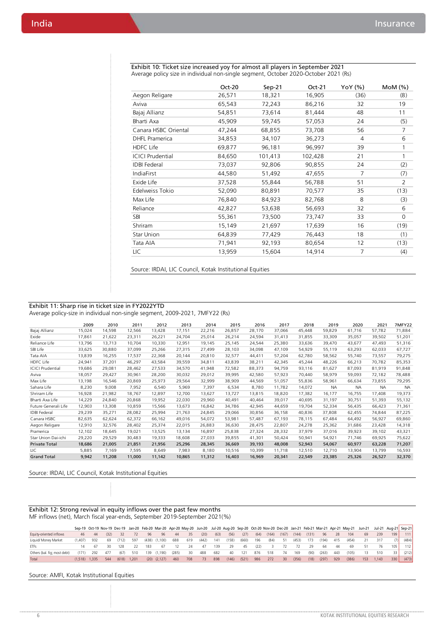|                         | Oct-20 | $Sep-21$ | $Oct-21$ | YoY (%) | MOM(%)      |
|-------------------------|--------|----------|----------|---------|-------------|
| Aegon Religare          | 26,571 | 18,321   | 16,905   | (36)    | (8)         |
| Aviva                   | 65,543 | 72,243   | 86,216   | 32      | 19          |
| Bajaj Allianz           | 54,851 | 73,614   | 81,444   | 48      | 11          |
| Bharti Axa              | 45,909 | 59,745   | 57,053   | 24      | (5)         |
| Canara HSBC Oriental    | 47,244 | 68,855   | 73,708   | 56      | 7           |
| <b>DHFL Pramerica</b>   | 34,853 | 34,107   | 36,273   | 4       | 6           |
| HDFC Life               | 69,877 | 96,181   | 96,997   | 39      | 1           |
| <b>ICICI Prudential</b> | 84,650 | 101,413  | 102,428  | 21      | 1           |
| <b>IDBI</b> Federal     | 73,037 | 92,806   | 90,855   | 24      | (2)         |
| IndiaFirst              | 44,580 | 51,492   | 47,655   | 7       | (7)         |
| Exide Life              | 37,528 | 55,844   | 56,788   | 51      | 2           |
| Edelweiss Tokio         | 52,090 | 80,891   | 70,577   | 35      | (13)        |
| Max Life                | 76,840 | 84,923   | 82,768   | 8       | (3)         |
| Reliance                | 42,827 | 53,638   | 56,693   | 32      | 6           |
| SBI                     | 55,361 | 73,500   | 73,747   | 33      | $\mathbf 0$ |
| Shriram                 | 15,149 | 21,697   | 17,639   | 16      | (19)        |
| <b>Star Union</b>       | 64,839 | 77,429   | 76,443   | 18      | (1)         |
| Tata AIA                | 71,941 | 92,193   | 80,654   | 12      | (13)        |
| LIC                     | 13,959 | 15,604   | 14,914   | 7       | (4)         |

Exhibit 10: Ticket size increased yoy for almost all players in September 2021 Average policy size in individual non-single segment, October 2020-October 2021 (Rs)

Source: IRDAI, LIC Council, Kotak Institutional Equities

#### Exhibit 11: Sharp rise in ticket size in FY2022YTD Average policy-size in individual non-single segment, 2009-2021, 7MFY22 (Rs)

|                         | 2009   | 2010   | 2011   | 2012   | 2013   | 2014   | 2015   | 2016   | 2017   | 2018   | 2019      | 2020      | 2021      | <b>7MFY22</b> |
|-------------------------|--------|--------|--------|--------|--------|--------|--------|--------|--------|--------|-----------|-----------|-----------|---------------|
| Bajaj Allianz           | 15,024 | 14,598 | 12,566 | 13,428 | 17,151 | 22,216 | 26,857 | 28,170 | 37,066 | 45,448 | 59,829    | 61,716    | 57,782    | 71,884        |
| Exide                   | 17,861 | 21,622 | 23,311 | 26,221 | 24,704 | 25,014 | 26,214 | 24,594 | 31,413 | 31,855 | 33,309    | 35,057    | 39,502    | 51,201        |
| Reliance Life           | 13,796 | 13.713 | 10.704 | 10,330 | 12.951 | 19,145 | 25,145 | 24,544 | 25,380 | 33,636 | 39,470    | 43.677    | 47.493    | 51,316        |
| SBI Life                | 33,625 | 30,880 | 37,099 | 25,266 | 27,315 | 27.499 | 28,103 | 34,098 | 47,109 | 54,929 | 55,119    | 63,293    | 62,033    | 67,727        |
| Tata AIA                | 13,839 | 16,255 | 17,537 | 22,368 | 20,144 | 20,810 | 32,577 | 44,411 | 57,204 | 62,780 | 58,562    | 55,740    | 73,557    | 79,275        |
| HDFC Life               | 24,941 | 37,201 | 46,297 | 43,584 | 39,559 | 34,811 | 43,839 | 38,211 | 42,345 | 45,244 | 48,226    | 66,213    | 70,782    | 85,353        |
| <b>ICICI Prudential</b> | 19,686 | 29,081 | 28,462 | 27,533 | 34,570 | 41,948 | 72,582 | 88,373 | 94,759 | 93,116 | 81,627    | 87,093    | 81,919    | 91,848        |
| Aviva                   | 18,057 | 29,427 | 30,961 | 28,200 | 30,032 | 29,012 | 39,995 | 42,580 | 57,923 | 70,440 | 58,979    | 59,093    | 72,182    | 78,488        |
| Max Life                | 13,198 | 16,546 | 20,869 | 25,973 | 29,564 | 32,999 | 38,909 | 44,569 | 51,057 | 55,836 | 58,961    | 66,634    | 73,855    | 79,295        |
| Sahara Life             | 8,230  | 9.008  | 7,952  | 6,540  | 5,969  | 7,397  | 6,534  | 8,780  | 11,782 | 14,072 | <b>NA</b> | <b>NA</b> | <b>NA</b> | <b>NA</b>     |
| Shriram Life            | 16,928 | 21,982 | 18,767 | 12,897 | 12,700 | 13,627 | 13,727 | 13,815 | 18,820 | 17,382 | 16,177    | 16,755    | 17,408    | 19,373        |
| Bharti Axa Life         | 14,229 | 24,840 | 20,868 | 19,952 | 22.030 | 29,960 | 40,491 | 40.464 | 39,017 | 40.695 | 31,197    | 30,751    | 51,393    | 55,132        |
| Future Generali Life    | 12,903 | 13,308 | 10,859 | 15,566 | 13,673 | 16,842 | 34,786 | 42,945 | 44,659 | 19.704 | 52,334    | 56,435    | 66.423    | 71,361        |
| <b>IDBI Federal</b>     | 29,239 | 35,271 | 28,082 | 25,994 | 21,763 | 24,845 | 29,066 | 30.856 | 36,158 | 40.836 | 37,808    | 62,455    | 74.844    | 87,225        |
| Canara HSBC             | 82,635 | 62,624 | 62,372 | 66,162 | 49.016 | 54,072 | 53,981 | 57.487 | 67,193 | 78,115 | 67,484    | 64,492    | 56,927    | 69,860        |
| Aegon Religare          | 12,910 | 32,576 | 28,402 | 25,374 | 22,015 | 26,883 | 36,630 | 28,475 | 22,807 | 24,278 | 25,362    | 31,686    | 23,428    | 14,318        |
| Pramerica               | 12,102 | 18,645 | 19,021 | 13,525 | 13,134 | 16,897 | 25,838 | 27,324 | 28,332 | 37,979 | 37,016    | 39,923    | 39,102    | 43,321        |
| Star Union Dai-ichi     | 29,220 | 29,529 | 30,483 | 19,333 | 18,608 | 27,033 | 39,855 | 41,301 | 50,424 | 50,941 | 54,921    | 71,746    | 69,925    | 75,622        |
| <b>Private Total</b>    | 18,686 | 21,005 | 21,851 | 21,956 | 25,296 | 28,345 | 36,669 | 39,193 | 48,008 | 52,943 | 54,067    | 60,977    | 63,228    | 71,207        |
| LIC                     | 5,885  | 7.169  | 7,595  | 8,649  | 7,983  | 8,180  | 10,516 | 10,399 | 11,718 | 12,510 | 12,710    | 13,904    | 13,799    | 16,593        |
| <b>Grand Total</b>      | 9,942  | 11,208 | 11,000 | 11,142 | 10,865 | 11,312 | 16,403 | 16,969 | 20,341 | 22,549 | 23,385    | 25,326    | 26,527    | 32,370        |

#### Source: IRDAI, LIC Council, Kotak Institutional Equities

#### Exhibit 12: Strong revival in equity inflows over the past few months MF inflows (net), March fiscal year-ends, September 2019-September 2021(%)

|                              |         |       |      |       |       |     |                   | Sep-19 Oct-19 Nov-19 Dec-19 Jan-20 Feb-20 Mar-20 Apr-20 May-20 Jun-20 Jul-20 Aug-20 Sep-20 Oct-20 Nov-20 Dec-20 Jan-21 Feb-21 Mar-21 Apr-21 May-21 Jun-21 Jul-21 Aug-21 Sep-21 |     |       |      |       |       |      |       |       |       |       |       |     |       |     |       |     |       |
|------------------------------|---------|-------|------|-------|-------|-----|-------------------|--------------------------------------------------------------------------------------------------------------------------------------------------------------------------------|-----|-------|------|-------|-------|------|-------|-------|-------|-------|-------|-----|-------|-----|-------|-----|-------|
| Equity-oriented inflows      | 46      |       | (32) | -32   |       |     | 96                | 44                                                                                                                                                                             | 35  | (20)  | (63) | (56)  | (27)  | (64) | (164) | (167) | (144) | (131) | 96    | 28  | 104   | 69  | 239   | 199 | 111   |
| Liquid/ Money Market         | (1.407) | 932   | -69  | (712) | 597   |     | $(438)$ $(1,100)$ | 688                                                                                                                                                                            | 619 | (442) | 141  | (158) | (660) | 196  | (84)  | 51    | (453) | 173   | (194) | 415 | (454) |     |       | (7) | (484) |
| <b>FTFs</b>                  |         |       |      | 128   |       | 183 | 67                |                                                                                                                                                                                | 2Δ  | 47    | 139  | 29    | 45    | (22) |       |       |       | 29    | 64    | 44  | 69    |     |       | 105 | 112   |
| Others (bal. fig: most debt) | (171)   | 292   | 477  | (67)  | 510   | 139 | (1.190)           | (285)                                                                                                                                                                          | -30 | 488   | 682  | 40    | 121   | 876  | 518   | 74    | 169   | (90)  | (263) | 443 | (105) |     | 510   | 33  | (212) |
| Total                        | (1.518) | 1.335 | 544  | (618) | 1.201 |     | $(20)$ $(2,127)$  | 460                                                                                                                                                                            | 708 | 73    | 898  | (146) | (521) | 986  | 272   | 30    | (356) | (18)  | (297) | 929 | (386) | 153 | 1.143 | 330 | (473) |

#### Source: AMFI, Kotak Institutional Equities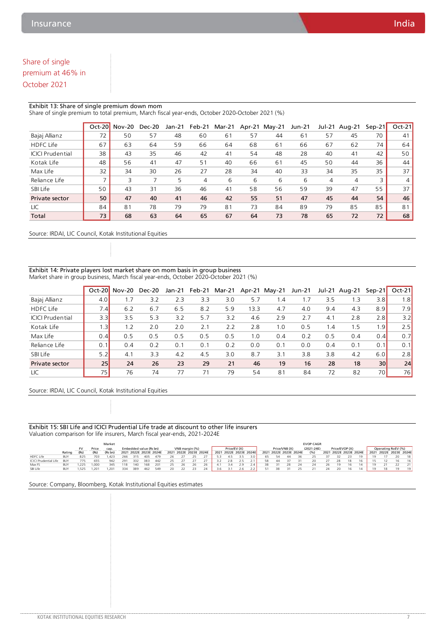# Share of single premium at 46% in October 2021

#### Exhibit 13: Share of single premium down mom

Share of single premium to total premium, March fiscal year-ends, October 2020-October 2021 (%)

|                         | Oct-20                   | <b>Nov-20</b> | <b>Dec-20</b> | Jan-21 | Feb-21 | Mar-21 | Apr-21 | $Mav-21$ | Jun-21 | Jul-21 | Aug-21 | $Sen-21$ | $Oct-21$ |
|-------------------------|--------------------------|---------------|---------------|--------|--------|--------|--------|----------|--------|--------|--------|----------|----------|
| Bajaj Allianz           | 72                       | 50            | 57            | 48     | 60     | 61     | 57     | 44       | 61     | 57     | 45     | 70       | 41       |
| <b>HDFC Life</b>        | 67                       | 63            | 64            | 59     | 66     | 64     | 68     | 61       | 66     | 67     | 62     | 74       | 64       |
| <b>ICICI Prudential</b> | 38                       | 43            | 35            | 46     | 42     | 41     | 54     | 48       | 28     | 40     | 41     | 42       | 50       |
| Kotak Life              | 48                       | 56            | 41            | 47     | 51     | 40     | 66     | 61       | 45     | 50     | 44     | 36       | 44       |
| Max Life                | 32                       | 34            | 30            | 26     | 27     | 28     | 34     | 40       | 33     | 34     | 35     | 35       | 37       |
| Reliance Life           | $\overline{\phantom{1}}$ | 3             |               | 5      | 4      | 6      | 6      | 6        | 6      | 4      | 4      | 3        | 4        |
| SBI Life                | 50                       | 43            | 31            | 36     | 46     | 41     | 58     | 56       | 59     | 39     | 47     | 55       | 37       |
| Private sector          | 50                       | 47            | 40            | 41     | 46     | 42     | 55     | 51       | 47     | 45     | 44     | 54       | 46       |
| <b>LIC</b>              | 84                       | 81            | 78            | 79     | 79     | 81     | 73     | 84       | 89     | 79     | 85     | 85       | 81       |
| Total                   | 73                       | 68            | 63            | 64     | 65     | 67     | 64     | 73       | 78     | 65     | 72     | 72       | 68       |

Source: IRDAI, LIC Council, Kotak Institutional Equities

#### Exhibit 14: Private players lost market share on mom basis in group business Market share in group business, March fiscal year-ends, October 2020-October 2021 (%)

|                         | $Oct-20$        | Nov-20 | Dec-20 | Jan-21 | Feb-21 | Mar-21 |      | Apr-21 May-21   | <b>Jun-21</b> | Jul-21 | Aug-21 | $Sep-21$        | $Oct-21$         |
|-------------------------|-----------------|--------|--------|--------|--------|--------|------|-----------------|---------------|--------|--------|-----------------|------------------|
| Bajaj Allianz           | 4.0             | 1.7    | 3.2    | 2.3    | 3.3    | 3.0    | 5.7  | $\mathsf{I}$ .4 | 1.7           | 3.5    | 1.3    | 3.8             | 1.8 <sub>1</sub> |
| <b>HDFC Life</b>        | 7.4             | 6.2    | 6.7    | 6.5    | 8.2    | 5.9    | 13.3 | 4.7             | 4.0           | 9.4    | 4.3    | 8.9             | 7.9              |
| <b>ICICI Prudential</b> | 3.3             | 3.5    | 5.3    | 3.2    | 5.7    | 3.2    | 4.6  | 2.9             | 2.7           | 4.1    | 2.8    | 2.8             | 3.2              |
| Kotak Life              | 1.3             | 1.2    | 2.0    | 2.0    | 2.1    | 2.2    | 2.8  | 1.0             | 0.5           | 1.4    | 1.5    | 1.9             | 2.5              |
| Max Life                | 0.4             | 0.5    | 0.5    | 0.5    | 0.5    | 0.5    | 1.0  | 0.4             | 0.2           | 0.5    | 0.4    | 0.4             | 0.7              |
| Reliance Life           | 0.1             | 0.4    | 0.2    | 0.1    | 0.1    | 0.2    | 0.0  | 0.1             | 0.0           | 0.4    | 0.1    | 0.1             | 0.1              |
| SBI Life                | 5.2             | 4.1    | 3.3    | 4.2    | 4.5    | 3.0    | 8.7  | 3.1             | 3.8           | 3.8    | 4.2    | 6.0             | 2.8              |
| Private sector          | 25 <sup>1</sup> | 24     | 26     | 23     | 29     | 21     | 46   | 19              | 16            | 28     | 18     | 30 <sup>1</sup> | 24               |
| LIC                     | 75              | 76     | 74     | 77     | 71     | 79     | 54   | 81              | 84            | 72     | 82     | 70              | 76               |

Source: IRDAI, LIC Council, Kotak Institutional Equities

#### Exhibit 15: SBI Life and ICICI Prudential Life trade at discount to other life insurers Valuation comparison for life insurers, March fiscal year-ends, 2021-2024E

|                       | Market     |      |       |         |     |                        |     |                        |                |  | <b>EVOP CAGR</b> |                        |     |                        |              |     |    |  |                        |                |      |     |    |                    |                        |    |  |                        |                 |
|-----------------------|------------|------|-------|---------|-----|------------------------|-----|------------------------|----------------|--|------------------|------------------------|-----|------------------------|--------------|-----|----|--|------------------------|----------------|------|-----|----|--------------------|------------------------|----|--|------------------------|-----------------|
|                       |            | FV   | Price | cap.    |     | Embedded value (Rs bn) |     |                        | VNB margin (%) |  |                  | Price/EV (X)           |     |                        | Price/VNB(X) |     |    |  | $(2021 - 24E)$         | Price/EVOP (X) |      |     |    | Operating RoEV (%) |                        |    |  |                        |                 |
|                       | Rating     | (Rs) | (Rs)  | (Rs bn) |     |                        |     | 2021 2022E 2023E 2024E |                |  |                  | 2021 2022E 2023E 2024E |     | 2021 2022E 2023E 2024E |              |     |    |  | 2021 2022E 2023E 2024E |                | (96) |     |    |                    | 2021 2022E 2023E 2024E |    |  | 2021 2022E 2023E 2024E |                 |
| HDFC Life             | <b>BUY</b> | 825  | 703   | .423    | 266 | 315                    | 405 | 479                    | 26             |  |                  |                        |     | 45                     |              | 3 O | 65 |  |                        |                |      |     |    |                    |                        |    |  |                        | 18 <sup>1</sup> |
| ICICI Prudential Life | <b>BUY</b> | 775  | 655   | 942     | 291 | 332                    | 383 | 442                    | つち             |  |                  |                        |     | 2.8                    | 2.5          |     | 58 |  |                        |                |      |     | 28 | 18                 |                        | 15 |  | 16                     | 16              |
| Max FS                | <b>BUY</b> | 225  | 1.000 | 345     | 118 | 140                    | 168 | 201                    | つち             |  | 26.              | 26.                    |     |                        | 2.9          |     | 38 |  |                        |                |      | 26. |    | 16                 |                        | 19 |  |                        | 211             |
| SBI Life              | <b>BUY</b> | .525 |       | . 201   | 334 | 389                    | 462 | 549                    |                |  |                  |                        | 3.b |                        |              |     |    |  |                        |                |      |     |    |                    |                        |    |  | 10                     | 19              |

Source: Company, Bloomberg, Kotak Institutional Equities estimates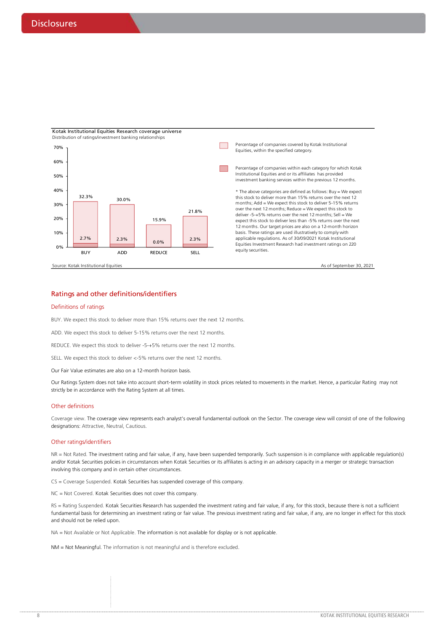

#### Ratings and other definitions/identifiers

#### Definitions of ratings

BUY. We expect this stock to deliver more than 15% returns over the next 12 months.

ADD. We expect this stock to deliver 5-15% returns over the next 12 months.

REDUCE. We expect this stock to deliver -5-+5% returns over the next 12 months.

SELL. We expect this stock to deliver <-5% returns over the next 12 months.

Our Fair Value estimates are also on a 12-month horizon basis.

Our Ratings System does not take into account short-term volatility in stock prices related to movements in the market. Hence, a particular Rating may not strictly be in accordance with the Rating System at all times.

#### Other definitions

Coverage view. The coverage view represents each analyst's overall fundamental outlook on the Sector. The coverage view will consist of one of the following designations: Attractive, Neutral, Cautious.

#### Other ratings/identifiers

NR = Not Rated. The investment rating and fair value, if any, have been suspended temporarily. Such suspension is in compliance with applicable regulation(s) and/or Kotak Securities policies in circumstances when Kotak Securities or its affiliates is acting in an advisory capacity in a merger or strategic transaction involving this company and in certain other circumstances.

CS = Coverage Suspended. Kotak Securities has suspended coverage of this company.

NC = Not Covered. Kotak Securities does not cover this company.

RS = Rating Suspended. Kotak Securities Research has suspended the investment rating and fair value, if any, for this stock, because there is not a sufficient fundamental basis for determining an investment rating or fair value. The previous investment rating and fair value, if any, are no longer in effect for this stock and should not be relied upon.

NA = Not Available or Not Applicable. The information is not available for display or is not applicable.

NM = Not Meaningful. The information is not meaningful and is therefore excluded.